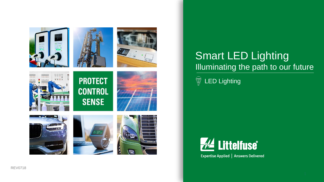

















## Smart LED Lighting Illuminating the path to our future

LED Lightingໝ



Expertise Applied | Answers Delivered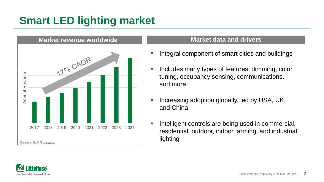## **Smart LED lighting market**



### **Market data and drivers**

- Integral component of smart cities and buildings
- Includes many types of features: dimming, color tuning, occupancy sensing, communications, and more
- Increasing adoption globally, led by USA, UK, and China
- Intelligent controls are being used in commercial, residential, outdoor, indoor farming, and industrial lighting

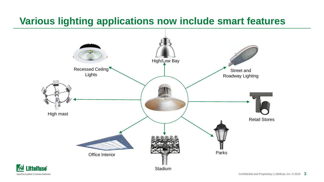### **Various lighting applications now include smart features**



 $-\sqrt{4}$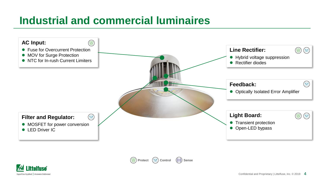## **Industrial and commercial luminaires**





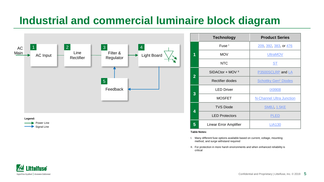### **Industrial and commercial luminaire block diagram**



|                | <b>Technology</b>            | <b>Product Series</b>                  |  |
|----------------|------------------------------|----------------------------------------|--|
|                | Fuse <sup>1</sup>            | 209, 392, 383, or 476                  |  |
| 1              | <b>MOV</b>                   | <b>UltraMOV</b>                        |  |
|                | <b>NTC</b>                   | <u>ST</u>                              |  |
| $\overline{2}$ | SIDACtor + MOV <sup>II</sup> | P3500SCLRP and LA                      |  |
|                | Rectifier diodes             | <b>Schottky Gen<sup>2</sup> Diodes</b> |  |
|                | <b>LED Driver</b>            | <b>IX9908</b>                          |  |
| 3              | <b>MOSFET</b>                | <b>N-Channel Ultra Junction</b>        |  |
| 4              | <b>TVS Diode</b>             | <b>SMBJ, 1.5KE</b>                     |  |
|                | <b>LED Protectors</b>        | PLED                                   |  |
| 5              | Linear Error Amplifier       | <b>LIA130</b>                          |  |

#### **Table Notes:**

- I. Many different fuse options available based on current, voltage, mounting method, and surge withstand required
- II. For protection in more harsh environments and when enhanced reliability is critical

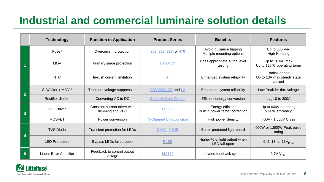## **Industrial and commercial luminaire solution details**

|                | <b>Technology</b>            | <b>Function in Application</b>                  | <b>Product Series</b>                  | <b>Benefits</b>                                      | <b>Features</b>                                        |
|----------------|------------------------------|-------------------------------------------------|----------------------------------------|------------------------------------------------------|--------------------------------------------------------|
|                | Fuse <sup>1</sup>            | Overcurrent protection                          | 209, 392, 383, or 476                  | Avoid nuisance tripping<br>Multiple mounting options | Up to 300 Vac<br>High <sup>2</sup> t rating            |
|                | <b>MOV</b>                   | Primary surge protection                        | <b>UltraMOV</b>                        | Pass appropriate surge level<br>testing              | Up to 10 kA Imax<br>Up to 125°C operating temp         |
|                | <b>NTC</b>                   | In-rush current limitation                      | <b>ST</b>                              | Enhanced system reliability                          | Radial leaded<br>Up to 13A max steady state<br>current |
| $\overline{2}$ | SIDACtor + MOV <sup>II</sup> | Transient voltage suppression                   | P3500SCLRP and LA                      | Enhanced system reliability                          | Low Peak let-thru voltage                              |
|                | Rectifier diodes             | Converting AC to DC                             | <b>Schottky Gen<sup>2</sup> Diodes</b> | Efficient energy conversion                          | $I_{FAV}$ 10 to 300A                                   |
| 3              | <b>LED Driver</b>            | Constant current driver with<br>dimming and PFC | <b>IX9908</b>                          | Energy efficient<br>Built in power factor correction | Up to 600V operating<br>> 90% efficiency               |
|                | <b>MOSFET</b>                | Power conversion                                | N-Channel Ultra Junction               | High power density                                   | 400V - 1,000V Class                                    |
| 4              | <b>TVS Diode</b>             | Transient protection for LEDs                   | <b>SMBJ, 1.5KE</b>                     | Better protected light board                         | 600W or 1,500W Peak pulse<br>rating                    |
|                | <b>LED Protectors</b>        | Bypass LEDs failed-open                         | <b>PLED</b>                            | Higher % of light output when<br>LED fail-open       | 6, 9, 13, or 18V <sub>DRM</sub>                        |
| $5\phantom{1}$ | Linear Error Amplifier       | Feedback to control output<br>voltage           | <b>LIA130</b>                          | Isolated feedback system                             | 2.7V $V_{REF}$                                         |

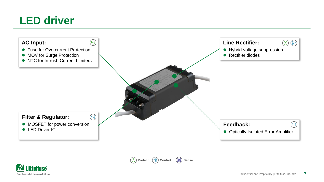



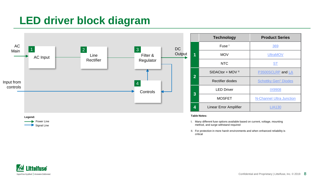## <span id="page-7-0"></span>**LED driver block diagram**





- I. Many different fuse options available based on current, voltage, mounting method, and surge withstand required
- II. For protection in more harsh environments and when enhanced reliability is critical

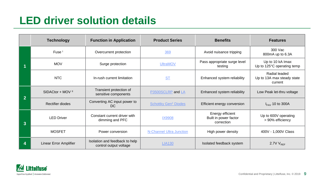## <span id="page-8-0"></span>**LED driver solution details**

|   | <b>Technology</b>            | <b>Function in Application</b>                           | <b>Product Series</b>                  | <b>Benefits</b>                                         | <b>Features</b>                                        |
|---|------------------------------|----------------------------------------------------------|----------------------------------------|---------------------------------------------------------|--------------------------------------------------------|
|   | Fuse <sup>1</sup>            | Overcurrent protection                                   | 369                                    | Avoid nuisance tripping                                 | 300 Vac<br>800mA up to 6.3A                            |
|   | <b>MOV</b>                   | Surge protection                                         | <b>UltraMOV</b>                        | Pass appropriate surge level<br>testing                 | Up to 10 kA Imax<br>Up to 125°C operating temp         |
|   | NTC                          | In-rush current limitation                               | <b>ST</b>                              | Enhanced system reliability                             | Radial leaded<br>Up to 13A max steady state<br>current |
| 2 | SIDACtor + MOV <sup>II</sup> | Transient protection of<br>sensitive components          | P3500SCLRP and LA                      | Enhanced system reliability                             | Low Peak let-thru voltage                              |
|   | <b>Rectifier diodes</b>      | Converting AC input power to<br>DC.                      | <b>Schottky Gen<sup>2</sup> Diodes</b> | Efficient energy conversion                             | $I_{FAV}$ 10 to 300A                                   |
| 3 | <b>LED Driver</b>            | Constant current driver with<br>dimming and PFC          | <b>IX9908</b>                          | Energy efficient<br>Built in power factor<br>correction | Up to 600V operating<br>> 90% efficiency               |
|   | <b>MOSFET</b>                | Power conversion                                         | N-Channel Ultra Junction               | High power density                                      | 400V - 1,000V Class                                    |
| 4 | Linear Error Amplifier       | Isolation and feedback to help<br>control output voltage | <b>LIA130</b>                          | Isolated feedback system                                | 2.7V $V_{REF}$                                         |

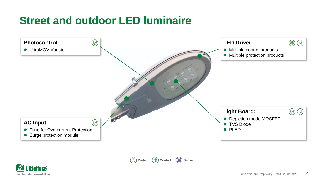## **Street and outdoor LED luminaire**





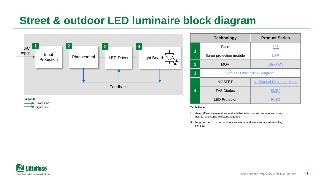### **Street & outdoor LED luminaire block diagram**



|                | <b>Technology</b>            | <b>Product Series</b>           |  |
|----------------|------------------------------|---------------------------------|--|
| 1              | Fuse                         | 328                             |  |
|                | Surge protection module      | <b>LSP</b>                      |  |
| $\overline{2}$ | <b>MOV</b>                   | <b>UltraMOV</b>                 |  |
| 3              | See LED driver block diagram |                                 |  |
|                | <b>MOSFET</b>                | <b>N-Channel Depletion Mode</b> |  |
| 4              | <b>TVS Diodes</b>            | <b>SMBJ</b>                     |  |
|                | <b>LED Protector</b>         | PLED                            |  |

#### **Table Notes:**

- I. Many different fuse options available based on current, voltage, mounting method, and surge withstand required
- II. For protection in more harsh environments and when enhanced reliability is critical

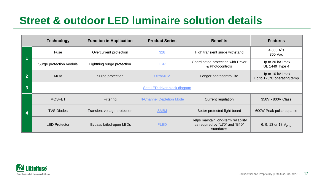## **Street & outdoor LED luminaire solution details**

|                | <b>Technology</b>            | <b>Function in Application</b> | <b>Product Series</b>           | <b>Benefits</b>                                                                     | <b>Features</b>                                |
|----------------|------------------------------|--------------------------------|---------------------------------|-------------------------------------------------------------------------------------|------------------------------------------------|
|                | Fuse                         | Overcurrent protection         | 328                             | High transient surge withstand                                                      | 4,800 $A^2$ s<br>300 Vac                       |
|                | Surge protection module      | Lightning surge protection     | <b>LSP</b>                      | Coordinated protection with Driver<br>& Photocontrols                               | Up to 20 kA Imax<br>UL 1449 Type 4             |
| $\overline{2}$ | <b>MOV</b>                   | Surge protection               | <b>UltraMOV</b>                 | Longer photocontrol life                                                            | Up to 10 kA Imax<br>Up to 125°C operating temp |
| 3              | See LED driver block diagram |                                |                                 |                                                                                     |                                                |
| 4              | <b>MOSFET</b>                | <b>Filtering</b>               | <b>N-Channel Depletion Mode</b> | Current regulation                                                                  | 350V - 800V Class                              |
|                | <b>TVS Diodes</b>            | Transient voltage protection   | <b>SMBJ</b>                     | Better protected light board                                                        | 600W Peak pulse capable                        |
|                | <b>LED Protector</b>         | Bypass failed-open LEDs        | <b>PLED</b>                     | Helps maintain long-term reliability<br>as required by "L70" and "B10"<br>standards | 6, 9, 13 or 18 V <sub>DRM</sub>                |

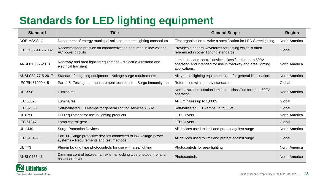# **Standards for LED lighting equipment**

| <b>Standard</b>     | <b>Title</b>                                                                                                | <b>General Scope</b>                                                                                                                     | Region               |
|---------------------|-------------------------------------------------------------------------------------------------------------|------------------------------------------------------------------------------------------------------------------------------------------|----------------------|
| DOE MSSSLC          | Department of energy municipal solid-state street lighting consortium                                       | First organization to write a specification for LED Streetlighting                                                                       | North America        |
| IEEE C62.41.2-2002  | Recommended practice on characterization of surges in low-voltage<br>AC power circuits                      | Provides standard waveforms for testing which is often<br>referenced in other lighting standards.                                        | Global               |
| ANSI C136.2-2018    | Roadway and area lighting equipment – dielectric withstand and<br>electrical transient                      | Luminaires and control devices classified for up to 600V<br>operation and intended for use in roadway and area lighting<br>applications. | North America        |
| ANSI C82.77-5-2017  | Standard for lighting equipment – voltage surge requirements                                                | All types of lighting equipment used for general illumination.                                                                           | <b>North America</b> |
| IEC/EN 61000-4-5    | Part 4-5: Testing and measurement techniques – Surge immunity test                                          | Referenced within many standards                                                                                                         | Global               |
| <b>UL 1598</b>      | Luminaires                                                                                                  | Non-hazardous location luminaires classified for up to 600V<br>operation                                                                 | North America        |
| IEC 60598           | Luminaires                                                                                                  | All luminaires up to 1,000V                                                                                                              | Global               |
| IEC 62560           | Self-ballasted LED-lamps for general lighting services > 50V                                                | Self-ballasted LED-lamps up to 60W                                                                                                       | Global               |
| <b>UL 8750</b>      | LED equipment for use in lighting products                                                                  | <b>LED Drivers</b>                                                                                                                       | North America        |
| IEC 61347           | Lamp control-gear                                                                                           | <b>LED Drivers</b>                                                                                                                       | Global               |
| <b>UL 1449</b>      | <b>Surge Protection Devices</b>                                                                             | All devices used to limit and protect against surge                                                                                      | North America        |
| IEC 61643-11        | Part 11: Surge protective devices connected to low-voltage power<br>systems - Requirements and test methods | All devices used to limit and protect against surge                                                                                      | Global               |
| <b>UL 773</b>       | Plug-in locking type photocontrols for use with area lighting                                               | Photocontrols for area lighting                                                                                                          | North America        |
| <b>ANSI C136.41</b> | Dimming control between an external locking type photocontrol and<br>ballast or driver                      | Photocontrols                                                                                                                            | North America        |

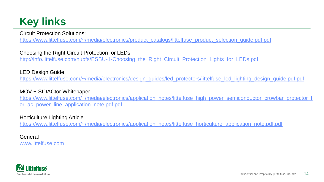## **Key links**

Circuit Protection Solutions:

[https://www.littelfuse.com/~/media/electronics/product\\_catalogs/littelfuse\\_product\\_selection\\_guide.pdf.pdf](https://www.littelfuse.com/~/media/electronics/product_catalogs/littelfuse_product_selection_guide.pdf.pdf)

### Choosing the Right Circuit Protection for LEDs

[http://info.littelfuse.com/hubfs/ESBU-1-Choosing\\_the\\_Right\\_Circuit\\_Protection\\_Lights\\_for\\_LEDs.pdf](http://info.littelfuse.com/hubfs/ESBU-1-Choosing_the_Right_Circuit_Protection_Lights_for_LEDs.pdf)

### LED Design Guide

[https://www.littelfuse.com/~/media/electronics/design\\_guides/led\\_protectors/littelfuse\\_led\\_lighting\\_design\\_guide.pdf.pdf](https://www.littelfuse.com/~/media/electronics/design_guides/led_protectors/littelfuse_led_lighting_design_guide.pdf.pdf)

### MOV + SIDACtor Whitepaper

[https://www.littelfuse.com/~/media/electronics/application\\_notes/littelfuse\\_high\\_power\\_semiconductor\\_crowbar\\_protector\\_f](https://www.littelfuse.com/~/media/electronics/application_notes/littelfuse_high_power_semiconductor_crowbar_protector_for_ac_power_line_application_note.pdf.pdf) or\_ac\_power\_line\_application\_note.pdf.pdf

### Horticulture Lighting Article

[https://www.littelfuse.com/~/media/electronics/application\\_notes/littelfuse\\_horticulture\\_application\\_note.pdf.pdf](https://www.littelfuse.com/~/media/electronics/application_notes/littelfuse_horticulture_application_note.pdf.pdf)

### General [www.littelfuse.com](http://www.littelfuse.com/)

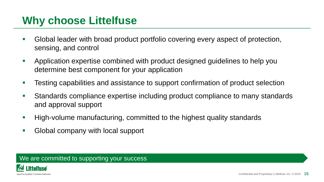### **Why choose Littelfuse**

- Global leader with broad product portfolio covering every aspect of protection, sensing, and control
- **EXP** Application expertise combined with product designed guidelines to help you determine best component for your application
- Testing capabilities and assistance to support confirmation of product selection
- Standards compliance expertise including product compliance to many standards and approval support
- High-volume manufacturing, committed to the highest quality standards
- Global company with local support

### We are committed to supporting your success